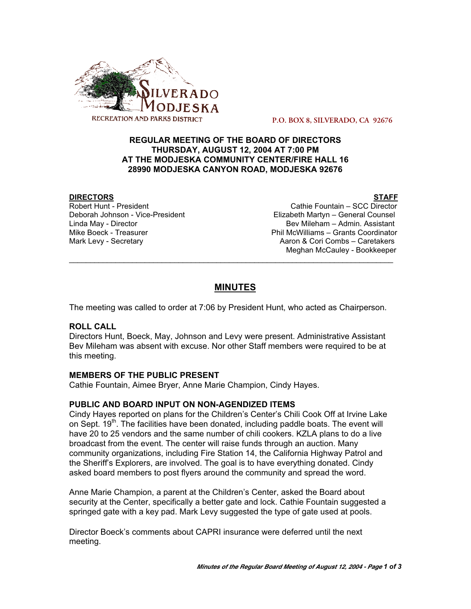

 **P.O. BOX 8, SILVERADO, CA 92676**

# **REGULAR MEETING OF THE BOARD OF DIRECTORS THURSDAY, AUGUST 12, 2004 AT 7:00 PM AT THE MODJESKA COMMUNITY CENTER/FIRE HALL 16 28990 MODJESKA CANYON ROAD, MODJESKA 92676**

**DIRECTORS STAFF** Robert Hunt - President Cathie Fountain – SCC Director Deborah Johnson - Vice-President Elizabeth Martyn – General Counsel Linda May - Director Bev Mileham – Admin. Assistant Mike Boeck - TreasurerPhil McWilliams – Grants Coordinator Mark Levy - Secretary **Aaron & Cori Combs – Caretakers** Aaron & Cori Combs – Caretakers Meghan McCauley - Bookkeeper

# **MINUTES**

\_\_\_\_\_\_\_\_\_\_\_\_\_\_\_\_\_\_\_\_\_\_\_\_\_\_\_\_\_\_\_\_\_\_\_\_\_\_\_\_\_\_\_\_\_\_\_\_\_\_\_\_\_\_\_\_\_\_\_\_\_\_\_\_\_\_\_\_\_\_\_\_\_\_\_\_\_

The meeting was called to order at 7:06 by President Hunt, who acted as Chairperson.

# **ROLL CALL**

Directors Hunt, Boeck, May, Johnson and Levy were present. Administrative Assistant Bev Mileham was absent with excuse. Nor other Staff members were required to be at this meeting.

# **MEMBERS OF THE PUBLIC PRESENT**

Cathie Fountain, Aimee Bryer, Anne Marie Champion, Cindy Hayes.

#### **PUBLIC AND BOARD INPUT ON NON-AGENDIZED ITEMS**

Cindy Hayes reported on plans for the Children's Center's Chili Cook Off at Irvine Lake on Sept. 19<sup>th</sup>. The facilities have been donated, including paddle boats. The event will have 20 to 25 vendors and the same number of chili cookers. KZLA plans to do a live broadcast from the event. The center will raise funds through an auction. Many community organizations, including Fire Station 14, the California Highway Patrol and the Sheriff's Explorers, are involved. The goal is to have everything donated. Cindy asked board members to post flyers around the community and spread the word.

Anne Marie Champion, a parent at the Children's Center, asked the Board about security at the Center, specifically a better gate and lock. Cathie Fountain suggested a springed gate with a key pad. Mark Levy suggested the type of gate used at pools.

Director Boeck's comments about CAPRI insurance were deferred until the next meeting.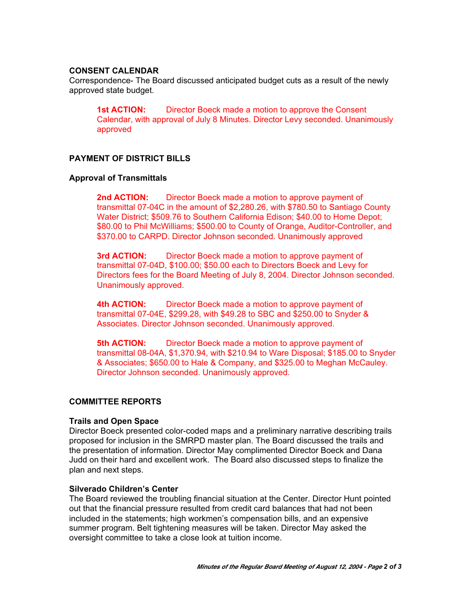# **CONSENT CALENDAR**

Correspondence- The Board discussed anticipated budget cuts as a result of the newly approved state budget.

**1st ACTION:** Director Boeck made a motion to approve the Consent Calendar, with approval of July 8 Minutes. Director Levy seconded. Unanimously approved

### **PAYMENT OF DISTRICT BILLS**

#### **Approval of Transmittals**

**2nd ACTION:** Director Boeck made a motion to approve payment of transmittal 07-04C in the amount of \$2,280.26, with \$780.50 to Santiago County Water District; \$509.76 to Southern California Edison; \$40.00 to Home Depot; \$80.00 to Phil McWilliams; \$500.00 to County of Orange, Auditor-Controller, and \$370.00 to CARPD. Director Johnson seconded. Unanimously approved

**3rd ACTION:** Director Boeck made a motion to approve payment of transmittal 07-04D, \$100.00; \$50.00 each to Directors Boeck and Levy for Directors fees for the Board Meeting of July 8, 2004. Director Johnson seconded. Unanimously approved.

**4th ACTION:** Director Boeck made a motion to approve payment of transmittal 07-04E, \$299.28, with \$49.28 to SBC and \$250.00 to Snyder & Associates. Director Johnson seconded. Unanimously approved.

**5th ACTION:** Director Boeck made a motion to approve payment of transmittal 08-04A, \$1,370.94, with \$210.94 to Ware Disposal; \$185.00 to Snyder & Associates; \$650.00 to Hale & Company, and \$325.00 to Meghan McCauley. Director Johnson seconded. Unanimously approved.

#### **COMMITTEE REPORTS**

#### **Trails and Open Space**

Director Boeck presented color-coded maps and a preliminary narrative describing trails proposed for inclusion in the SMRPD master plan. The Board discussed the trails and the presentation of information. Director May complimented Director Boeck and Dana Judd on their hard and excellent work. The Board also discussed steps to finalize the plan and next steps.

#### **Silverado Children's Center**

The Board reviewed the troubling financial situation at the Center. Director Hunt pointed out that the financial pressure resulted from credit card balances that had not been included in the statements; high workmen's compensation bills, and an expensive summer program. Belt tightening measures will be taken. Director May asked the oversight committee to take a close look at tuition income.